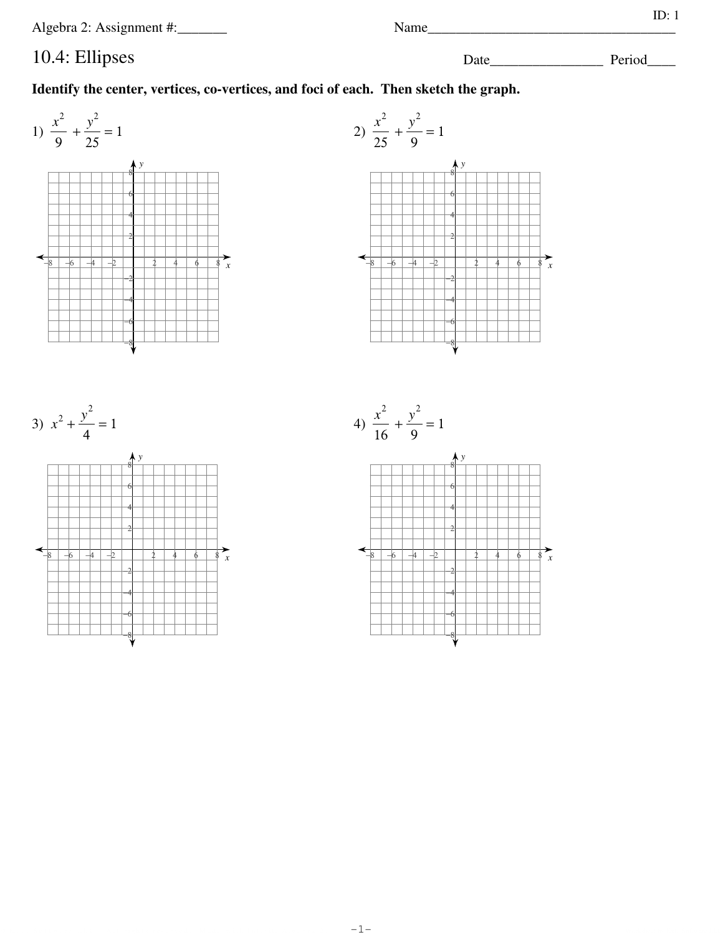Algebra 2: Assignment #:\_\_\_\_\_\_

# 10.4: Ellipses

Name\_\_\_\_\_

ID:  $1$ 

 $\overline{x}$ 

Identify the center, vertices, co-vertices, and foci of each. Then sketch the graph.

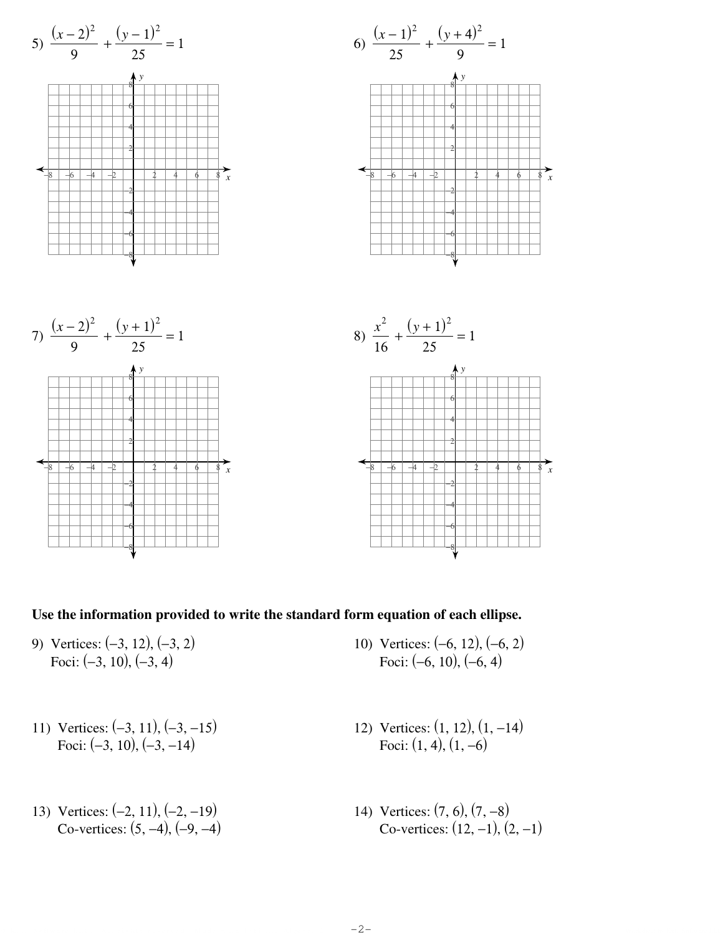

**Use the information provided to write the standard form equation of each ellipse.**

- 9) Vertices: (−3, 12), (−3, 2) Foci: (−3, 10), (−3, 4)
- 11) Vertices: (−3, 11), (−3, −15) Foci:  $(-3, 10)$ ,  $(-3, -14)$
- 13) Vertices: (−2, 11), (−2, −19) Co-vertices: (5, −4), (−9, −4)

10) Vertices: (−6, 12), (−6, 2) Foci: (−6, 10), (−6, 4)

*x*

*x*

- 12) Vertices: (1, 12), (1, −14) Foci:  $(1, 4)$ ,  $(1, -6)$
- 14) Vertices: (7, 6), (7, −8) Co-vertices: (12, −1), (2, −1)

©F zKnuctzaY OS2otfjtJwSaSrge2 hL8LnCc.V <sup>L</sup> jAqlHl3 drEiPgChAtdsY brMeSsveSr4vneKdv.x <sup>l</sup> qMNa3dqeA 2wQi2tTh9 AIPnKfWiMnZioteek XAnlagpe8bwrJag B2j.M Worksheet by Kuta Software LLC

-2-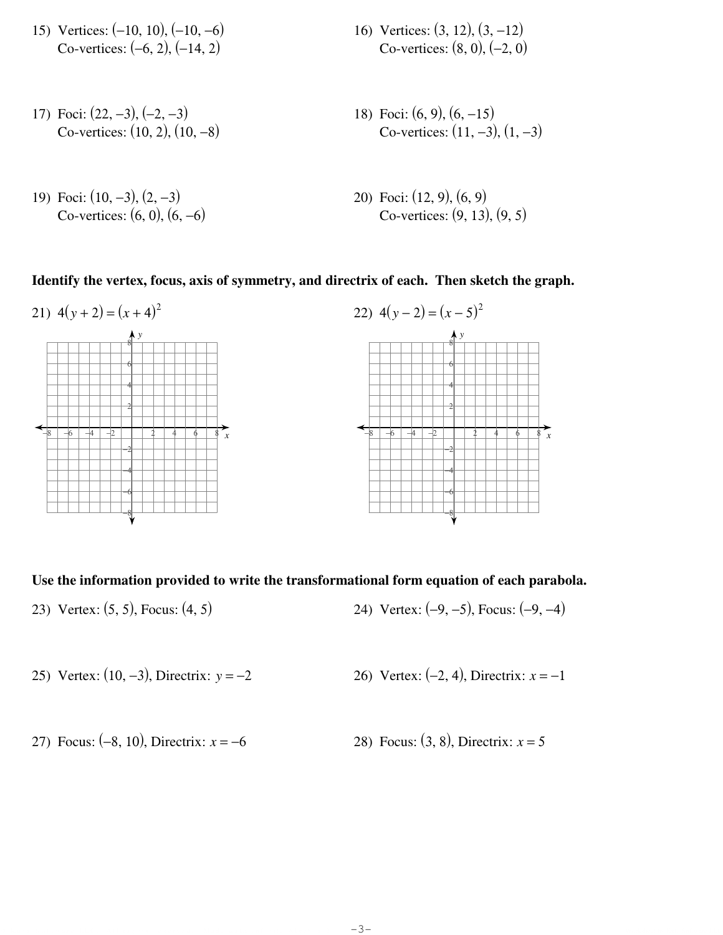- 15) Vertices: (−10, 10), (−10, −6) Co-vertices: (−6, 2), (−14, 2)
- 17) Foci: (22, −3), (−2, −3) Co-vertices: (10, 2), (10, −8)
- 19) Foci: (10, −3), (2, −3) Co-vertices:  $(6, 0)$ ,  $(6, -6)$
- 16) Vertices: (3, 12), (3, −12) Co-vertices: (8, 0), (−2, 0)
- 18) Foci: (6, 9), (6, −15) Co-vertices: (11, −3), (1, −3)
- 20) Foci: (12, 9), (6, 9) Co-vertices: (9, 13), (9, 5)

**Identify the vertex, focus, axis of symmetry, and directrix of each. Then sketch the graph.**



#### **Use the information provided to write the transformational form equation of each parabola.**

- 23) Vertex: (5, 5), Focus: (4, 5) 24) Vertex: (−9, −5), Focus: (−9, −4)
- 25) Vertex: (10, −3), Directrix: *y* = −2 26) Vertex: (−2, 4), Directrix: *x* = −1
- 27) Focus: (−8, 10), Directrix: *x* = −6 28) Focus: (3, 8), Directrix: *x* = 5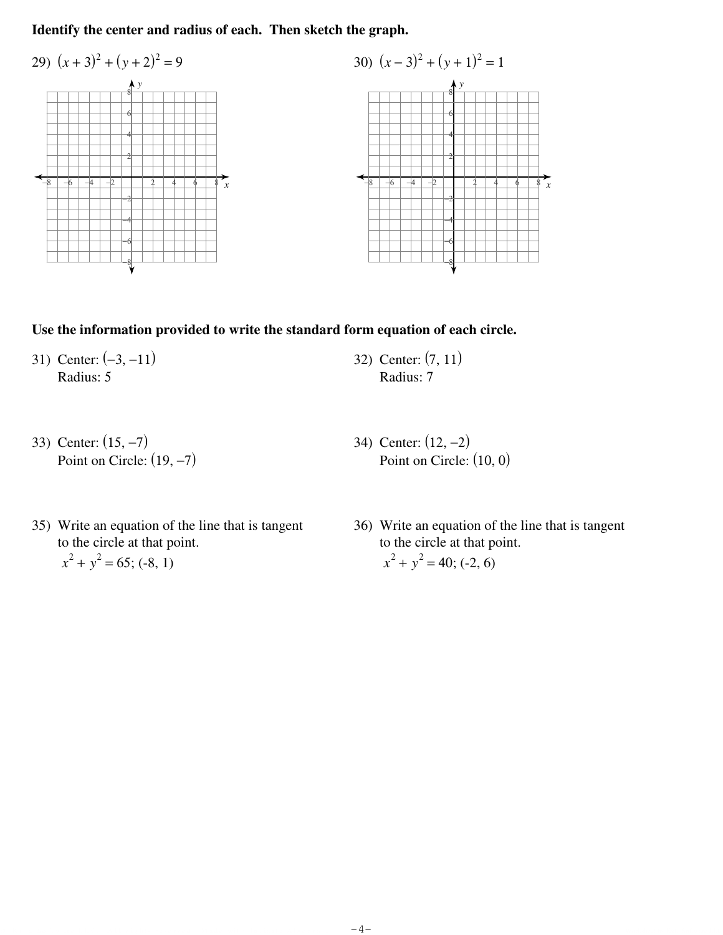## **Identify the center and radius of each. Then sketch the graph.**



### **Use the information provided to write the standard form equation of each circle.**

31) Center: (−3, −11) Radius: 5

32) Center: (7, 11) Radius: 7

33) Center: (15, −7) Point on Circle:  $(19, -7)$ 

- 34) Center: (12, −2) Point on Circle: (10, 0)
- 35) Write an equation of the line that is tangent to the circle at that point.  $x^2 + y^2 = 65$ ; (-8, 1)
- 36) Write an equation of the line that is tangent to the circle at that point.  $x^2 + y^2 = 40$ ; (-2, 6)

© Kuth Software LLC. All rights reserved. Made with Infinite Algebra 2.  $-\mathbf{4-}$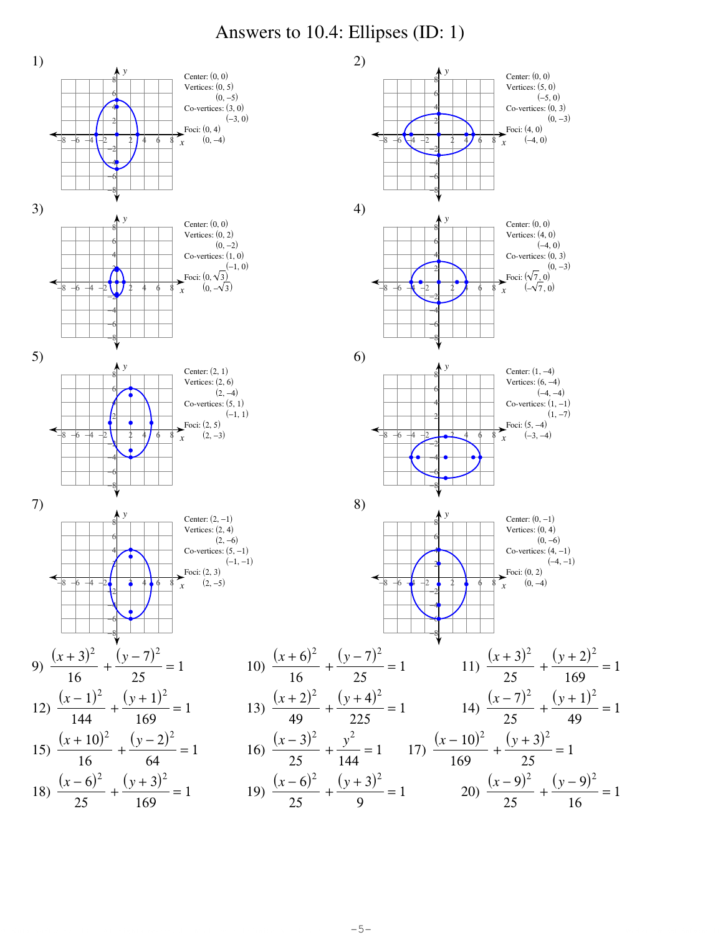### Answers to 10.4: Ellipses (ID: 1)



©Y KKnuntyap TS3ovfEtQwvaerAe0 jLgLjCl.R <sup>d</sup> XAhlilB orNiegghTtEs7 cr0ejsIePrgv3eWd2.L <sup>Q</sup> cMxaLdyeA ewzi9tshZ CI8n8fDiTn7ietHev wA7lTgkeebDr1aT w2g.6 -5- Worksheet by Kuta Software LLC